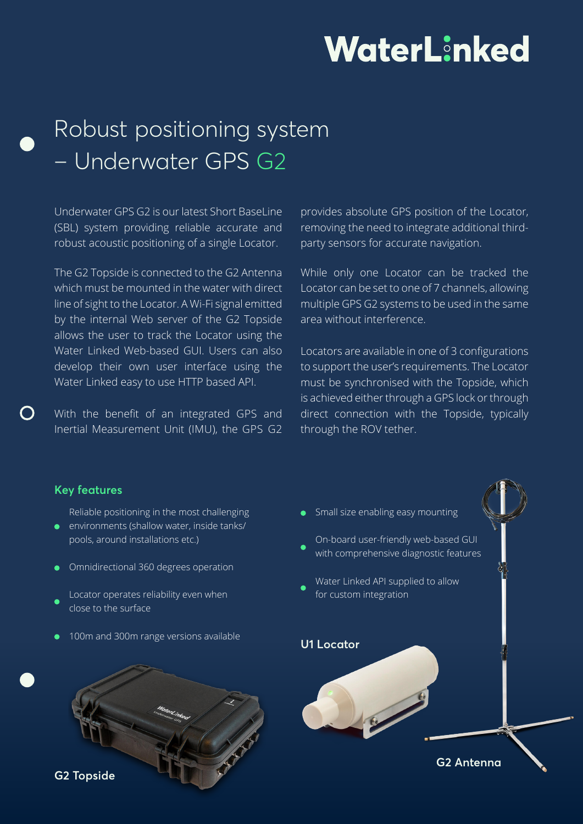# WaterLinked

# Robust positioning system – Underwater GPS G2

Underwater GPS G2 is our latest Short BaseLine (SBL) system providing reliable accurate and robust acoustic positioning of a single Locator.

The G2 Topside is connected to the G2 Antenna which must be mounted in the water with direct line of sight to the Locator. A Wi-Fi signal emitted by the internal Web server of the G2 Topside allows the user to track the Locator using the Water Linked Web-based GUI. Users can also develop their own user interface using the Water Linked easy to use HTTP based API.

With the benefit of an integrated GPS and Inertial Measurement Unit (IMU), the GPS G2 provides absolute GPS position of the Locator, removing the need to integrate additional thirdparty sensors for accurate navigation.

While only one Locator can be tracked the Locator can be set to one of 7 channels, allowing multiple GPS G2 systems to be used in the same area without interference.

Locators are available in one of 3 configurations to support the user's requirements. The Locator must be synchronised with the Topside, which is achieved either through a GPS lock or through direct connection with the Topside, typically through the ROV tether.

#### **Key features**

**G2 Topside**

Reliable positioning in the most challenging

- environments (shallow water, inside tanks/ pools, around installations etc.)
- Omnidirectional 360 degrees operation
- Locator operates reliability even when close to the surface
- 100m and 300m range versions available



**G2 Antenna**